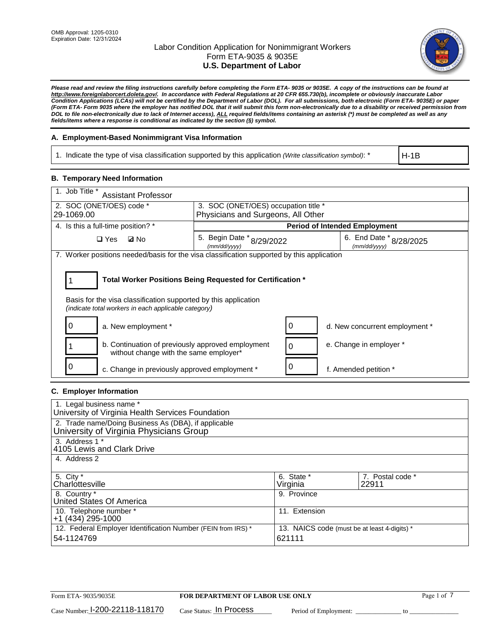

*Please read and review the filing instructions carefully before completing the Form ETA- 9035 or 9035E. A copy of the instructions can be found at [http://www.foreignlaborcert.doleta.gov/.](http://www.foreignlaborcert.doleta.gov/) In accordance with Federal Regulations at 20 CFR 655.730(b), incomplete or obviously inaccurate Labor Condition Applications (LCAs) will not be certified by the Department of Labor (DOL). For all submissions, both electronic (Form ETA- 9035E) or paper (Form ETA- Form 9035 where the employer has notified DOL that it will submit this form non-electronically due to a disability or received permission from DOL to file non-electronically due to lack of Internet access), ALL required fields/items containing an asterisk (\*) must be completed as well as any fields/items where a response is conditional as indicated by the section (§) symbol.* 

## **A. Employment-Based Nonimmigrant Visa Information**

1. Indicate the type of visa classification supported by this application *(Write classification symbol)*: \*

H-1B

## **B. Temporary Need Information**

| 1. Job Title *<br><b>Assistant Professor</b>                                                                                                                                          |                                               |                                      |                                         |  |  |  |
|---------------------------------------------------------------------------------------------------------------------------------------------------------------------------------------|-----------------------------------------------|--------------------------------------|-----------------------------------------|--|--|--|
| 2. SOC (ONET/OES) code *<br>3. SOC (ONET/OES) occupation title *                                                                                                                      |                                               |                                      |                                         |  |  |  |
| 29-1069.00                                                                                                                                                                            | Physicians and Surgeons, All Other            |                                      |                                         |  |  |  |
| 4. Is this a full-time position? *                                                                                                                                                    |                                               | <b>Period of Intended Employment</b> |                                         |  |  |  |
| $\square$ Yes<br><b>ØNo</b>                                                                                                                                                           | 5. Begin Date $*_{8/29/2022}$<br>(mm/dd/vvvv) |                                      | 6. End Date * 8/28/2025<br>(mm/dd/yyyy) |  |  |  |
| 7. Worker positions needed/basis for the visa classification supported by this application                                                                                            |                                               |                                      |                                         |  |  |  |
| Total Worker Positions Being Requested for Certification *<br>Basis for the visa classification supported by this application<br>(indicate total workers in each applicable category) |                                               |                                      |                                         |  |  |  |
| 0<br>a. New employment *                                                                                                                                                              |                                               | 0                                    | d. New concurrent employment *          |  |  |  |
| b. Continuation of previously approved employment<br>without change with the same employer*                                                                                           |                                               | $\Omega$                             | e. Change in employer *                 |  |  |  |
| 0<br>c. Change in previously approved employment *                                                                                                                                    |                                               | 0                                    | f. Amended petition *                   |  |  |  |

# **C. Employer Information**

| 1. Legal business name *                                     |                                              |                  |  |  |  |
|--------------------------------------------------------------|----------------------------------------------|------------------|--|--|--|
| University of Virginia Health Services Foundation            |                                              |                  |  |  |  |
| 2. Trade name/Doing Business As (DBA), if applicable         |                                              |                  |  |  |  |
| University of Virginia Physicians Group                      |                                              |                  |  |  |  |
| 3. Address 1 *                                               |                                              |                  |  |  |  |
| 4105 Lewis and Clark Drive                                   |                                              |                  |  |  |  |
| 4. Address 2                                                 |                                              |                  |  |  |  |
|                                                              |                                              |                  |  |  |  |
| 5. City *                                                    | 6. State *                                   | 7. Postal code * |  |  |  |
| Charlottesville                                              | Virginia                                     | 22911            |  |  |  |
| 8. Country *                                                 | 9. Province                                  |                  |  |  |  |
| United States Of America                                     |                                              |                  |  |  |  |
| 10. Telephone number *                                       | 11. Extension                                |                  |  |  |  |
| +1 (434) 295-1000                                            |                                              |                  |  |  |  |
| 12. Federal Employer Identification Number (FEIN from IRS) * | 13. NAICS code (must be at least 4-digits) * |                  |  |  |  |
| 54-1124769                                                   | 621111                                       |                  |  |  |  |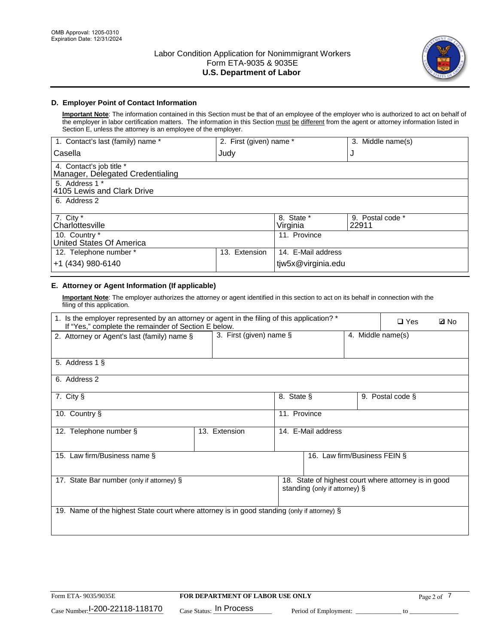

# **D. Employer Point of Contact Information**

**Important Note**: The information contained in this Section must be that of an employee of the employer who is authorized to act on behalf of the employer in labor certification matters. The information in this Section must be different from the agent or attorney information listed in Section E, unless the attorney is an employee of the employer.

| 1. Contact's last (family) name *                            | 2. First (given) name * |                        | 3. Middle name(s)         |
|--------------------------------------------------------------|-------------------------|------------------------|---------------------------|
| Casella                                                      | Judy                    |                        | J                         |
| 4. Contact's job title *<br>Manager, Delegated Credentialing |                         |                        |                           |
| 5. Address 1 *<br>4105 Lewis and Clark Drive                 |                         |                        |                           |
| 6. Address 2                                                 |                         |                        |                           |
| 7. City $*$<br>Charlottesville                               |                         | 8. State *<br>Virginia | 9. Postal code *<br>22911 |
| 10. Country *<br>United States Of America                    |                         | 11. Province           |                           |
| 12. Telephone number *                                       | Extension<br>13.        | 14. E-Mail address     |                           |
| +1 (434) 980-6140                                            |                         | tjw5x@virginia.edu     |                           |

# **E. Attorney or Agent Information (If applicable)**

**Important Note**: The employer authorizes the attorney or agent identified in this section to act on its behalf in connection with the filing of this application.

| 1. Is the employer represented by an attorney or agent in the filing of this application? *<br>If "Yes," complete the remainder of Section E below. |                         |              |                               |                   | $\square$ Yes                                        | <b>ØNo</b> |
|-----------------------------------------------------------------------------------------------------------------------------------------------------|-------------------------|--------------|-------------------------------|-------------------|------------------------------------------------------|------------|
| 2. Attorney or Agent's last (family) name §                                                                                                         | 3. First (given) name § |              |                               | 4. Middle name(s) |                                                      |            |
| 5. Address 1 §                                                                                                                                      |                         |              |                               |                   |                                                      |            |
| 6. Address 2                                                                                                                                        |                         |              |                               |                   |                                                      |            |
| 7. City §                                                                                                                                           |                         | 8. State §   |                               |                   | 9. Postal code §                                     |            |
| 10. Country §                                                                                                                                       |                         | 11. Province |                               |                   |                                                      |            |
| 12. Telephone number §                                                                                                                              | 13. Extension           |              | 14. E-Mail address            |                   |                                                      |            |
| 15. Law firm/Business name §                                                                                                                        |                         |              | 16. Law firm/Business FEIN §  |                   |                                                      |            |
| 17. State Bar number (only if attorney) §                                                                                                           |                         |              | standing (only if attorney) § |                   | 18. State of highest court where attorney is in good |            |
| 19. Name of the highest State court where attorney is in good standing (only if attorney) §                                                         |                         |              |                               |                   |                                                      |            |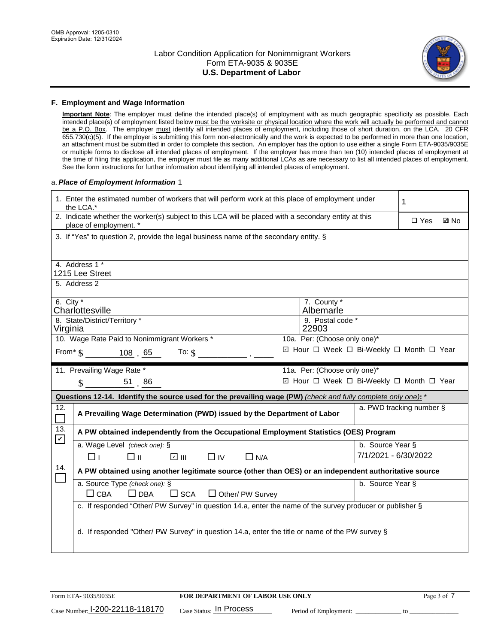

### **F. Employment and Wage Information**

**Important Note**: The employer must define the intended place(s) of employment with as much geographic specificity as possible. Each intended place(s) of employment listed below must be the worksite or physical location where the work will actually be performed and cannot be a P.O. Box. The employer must identify all intended places of employment, including those of short duration, on the LCA. 20 CFR 655.730(c)(5). If the employer is submitting this form non-electronically and the work is expected to be performed in more than one location, an attachment must be submitted in order to complete this section. An employer has the option to use either a single Form ETA-9035/9035E or multiple forms to disclose all intended places of employment. If the employer has more than ten (10) intended places of employment at the time of filing this application, the employer must file as many additional LCAs as are necessary to list all intended places of employment. See the form instructions for further information about identifying all intended places of employment.

### a.*Place of Employment Information* 1

|                            | 1. Enter the estimated number of workers that will perform work at this place of employment under<br>the LCA.*                 |  |                                          |                      |            |             |  |  |
|----------------------------|--------------------------------------------------------------------------------------------------------------------------------|--|------------------------------------------|----------------------|------------|-------------|--|--|
|                            | 2. Indicate whether the worker(s) subject to this LCA will be placed with a secondary entity at this<br>place of employment. * |  |                                          |                      | $\Box$ Yes | <b>Q</b> No |  |  |
|                            | 3. If "Yes" to question 2, provide the legal business name of the secondary entity. §                                          |  |                                          |                      |            |             |  |  |
|                            | 4. Address 1 *                                                                                                                 |  |                                          |                      |            |             |  |  |
|                            | 1215 Lee Street                                                                                                                |  |                                          |                      |            |             |  |  |
|                            | 5. Address 2                                                                                                                   |  |                                          |                      |            |             |  |  |
| 6. City $*$                |                                                                                                                                |  | 7. County *                              |                      |            |             |  |  |
|                            | Charlottesville                                                                                                                |  | Albemarle                                |                      |            |             |  |  |
| Virginia                   | 8. State/District/Territory *                                                                                                  |  | 9. Postal code *<br>22903                |                      |            |             |  |  |
|                            | 10. Wage Rate Paid to Nonimmigrant Workers *                                                                                   |  | 10a. Per: (Choose only one)*             |                      |            |             |  |  |
|                            | From $\frac{108}{5}$ . 65 To: \$                                                                                               |  | ☑ Hour □ Week □ Bi-Weekly □ Month □ Year |                      |            |             |  |  |
|                            |                                                                                                                                |  |                                          |                      |            |             |  |  |
|                            | 11. Prevailing Wage Rate *                                                                                                     |  | 11a. Per: (Choose only one)*             |                      |            |             |  |  |
|                            | $\text{\AA}$ 51 86                                                                                                             |  | ☑ Hour □ Week □ Bi-Weekly □ Month □ Year |                      |            |             |  |  |
|                            | Questions 12-14. Identify the source used for the prevailing wage (PW) (check and fully complete only one): *                  |  |                                          |                      |            |             |  |  |
| 12.<br>$\Box$              | a. PWD tracking number §<br>A Prevailing Wage Determination (PWD) issued by the Department of Labor                            |  |                                          |                      |            |             |  |  |
|                            |                                                                                                                                |  |                                          |                      |            |             |  |  |
| 13.                        | A PW obtained independently from the Occupational Employment Statistics (OES) Program                                          |  |                                          |                      |            |             |  |  |
| $\boldsymbol{\mathcal{V}}$ | a. Wage Level (check one): §                                                                                                   |  |                                          | b. Source Year §     |            |             |  |  |
|                            | ☑ Ⅲ<br>□⊪<br>$\Box$ IV<br>$\Box$ N/A<br>□⊥                                                                                     |  |                                          | 7/1/2021 - 6/30/2022 |            |             |  |  |
| 14.                        | A PW obtained using another legitimate source (other than OES) or an independent authoritative source                          |  |                                          |                      |            |             |  |  |
|                            | a. Source Type (check one): §                                                                                                  |  |                                          | b. Source Year §     |            |             |  |  |
|                            | $\Box$ CBA<br>$\Box$ DBA<br>$\square$ SCA<br>$\Box$ Other/ PW Survey                                                           |  |                                          |                      |            |             |  |  |
|                            | c. If responded "Other/ PW Survey" in question 14.a, enter the name of the survey producer or publisher §                      |  |                                          |                      |            |             |  |  |
|                            |                                                                                                                                |  |                                          |                      |            |             |  |  |
|                            | d. If responded "Other/ PW Survey" in question 14.a, enter the title or name of the PW survey §                                |  |                                          |                      |            |             |  |  |
|                            |                                                                                                                                |  |                                          |                      |            |             |  |  |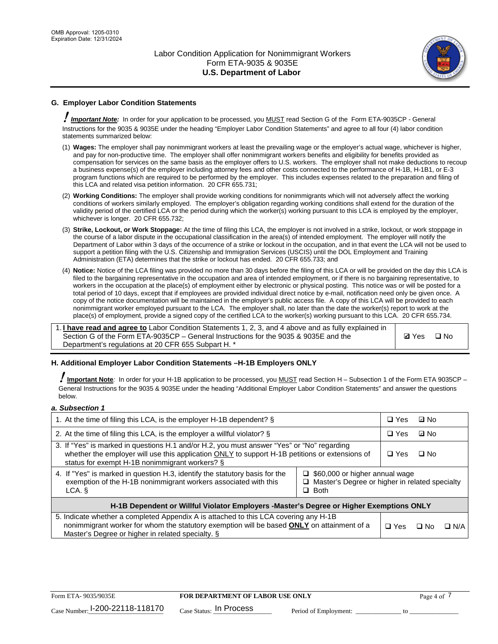

# **G. Employer Labor Condition Statements**

! *Important Note:* In order for your application to be processed, you MUST read Section G of the Form ETA-9035CP - General Instructions for the 9035 & 9035E under the heading "Employer Labor Condition Statements" and agree to all four (4) labor condition statements summarized below:

- (1) **Wages:** The employer shall pay nonimmigrant workers at least the prevailing wage or the employer's actual wage, whichever is higher, and pay for non-productive time. The employer shall offer nonimmigrant workers benefits and eligibility for benefits provided as compensation for services on the same basis as the employer offers to U.S. workers. The employer shall not make deductions to recoup a business expense(s) of the employer including attorney fees and other costs connected to the performance of H-1B, H-1B1, or E-3 program functions which are required to be performed by the employer. This includes expenses related to the preparation and filing of this LCA and related visa petition information. 20 CFR 655.731;
- (2) **Working Conditions:** The employer shall provide working conditions for nonimmigrants which will not adversely affect the working conditions of workers similarly employed. The employer's obligation regarding working conditions shall extend for the duration of the validity period of the certified LCA or the period during which the worker(s) working pursuant to this LCA is employed by the employer, whichever is longer. 20 CFR 655.732;
- (3) **Strike, Lockout, or Work Stoppage:** At the time of filing this LCA, the employer is not involved in a strike, lockout, or work stoppage in the course of a labor dispute in the occupational classification in the area(s) of intended employment. The employer will notify the Department of Labor within 3 days of the occurrence of a strike or lockout in the occupation, and in that event the LCA will not be used to support a petition filing with the U.S. Citizenship and Immigration Services (USCIS) until the DOL Employment and Training Administration (ETA) determines that the strike or lockout has ended. 20 CFR 655.733; and
- (4) **Notice:** Notice of the LCA filing was provided no more than 30 days before the filing of this LCA or will be provided on the day this LCA is filed to the bargaining representative in the occupation and area of intended employment, or if there is no bargaining representative, to workers in the occupation at the place(s) of employment either by electronic or physical posting. This notice was or will be posted for a total period of 10 days, except that if employees are provided individual direct notice by e-mail, notification need only be given once. A copy of the notice documentation will be maintained in the employer's public access file. A copy of this LCA will be provided to each nonimmigrant worker employed pursuant to the LCA. The employer shall, no later than the date the worker(s) report to work at the place(s) of employment, provide a signed copy of the certified LCA to the worker(s) working pursuant to this LCA. 20 CFR 655.734.

1. **I have read and agree to** Labor Condition Statements 1, 2, 3, and 4 above and as fully explained in Section G of the Form ETA-9035CP – General Instructions for the 9035 & 9035E and the Department's regulations at 20 CFR 655 Subpart H. \*

**Ø**Yes ロNo

## **H. Additional Employer Labor Condition Statements –H-1B Employers ONLY**

!**Important Note***:* In order for your H-1B application to be processed, you MUST read Section H – Subsection 1 of the Form ETA 9035CP – General Instructions for the 9035 & 9035E under the heading "Additional Employer Labor Condition Statements" and answer the questions below.

#### *a. Subsection 1*

| 1. At the time of filing this LCA, is the employer H-1B dependent? §                                                                                                                                                                                                    |  |  | ⊡ No      |            |
|-------------------------------------------------------------------------------------------------------------------------------------------------------------------------------------------------------------------------------------------------------------------------|--|--|-----------|------------|
| 2. At the time of filing this LCA, is the employer a willful violator? $\S$                                                                                                                                                                                             |  |  | ⊡ No      |            |
| 3. If "Yes" is marked in questions H.1 and/or H.2, you must answer "Yes" or "No" regarding<br>whether the employer will use this application ONLY to support H-1B petitions or extensions of<br>status for exempt H-1B nonimmigrant workers? §                          |  |  | $\Box$ No |            |
| 4. If "Yes" is marked in question H.3, identify the statutory basis for the<br>$\Box$ \$60,000 or higher annual wage<br>exemption of the H-1B nonimmigrant workers associated with this<br>$\Box$ Master's Degree or higher in related specialty<br>$\Box$ Both<br>LCA. |  |  |           |            |
| H-1B Dependent or Willful Violator Employers -Master's Degree or Higher Exemptions ONLY                                                                                                                                                                                 |  |  |           |            |
| 5. Indicate whether a completed Appendix A is attached to this LCA covering any H-1B<br>nonimmigrant worker for whom the statutory exemption will be based <b>ONLY</b> on attainment of a<br>Master's Degree or higher in related specialty. §                          |  |  | ⊡ No      | $\Box$ N/A |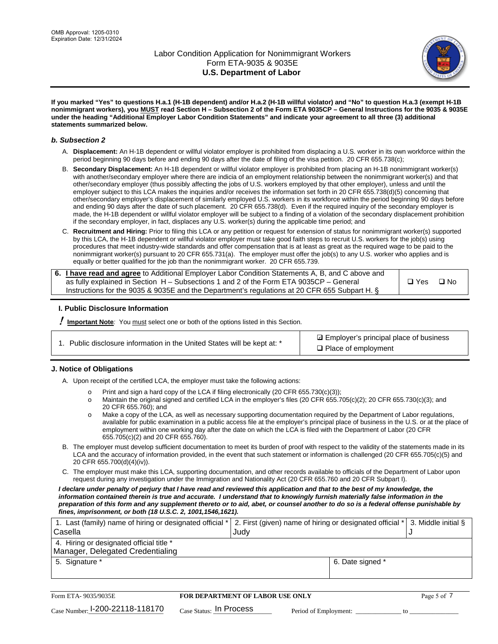

**If you marked "Yes" to questions H.a.1 (H-1B dependent) and/or H.a.2 (H-1B willful violator) and "No" to question H.a.3 (exempt H-1B nonimmigrant workers), you MUST read Section H – Subsection 2 of the Form ETA 9035CP – General Instructions for the 9035 & 9035E under the heading "Additional Employer Labor Condition Statements" and indicate your agreement to all three (3) additional statements summarized below.**

#### *b. Subsection 2*

- A. **Displacement:** An H-1B dependent or willful violator employer is prohibited from displacing a U.S. worker in its own workforce within the period beginning 90 days before and ending 90 days after the date of filing of the visa petition. 20 CFR 655.738(c);
- B. **Secondary Displacement:** An H-1B dependent or willful violator employer is prohibited from placing an H-1B nonimmigrant worker(s) with another/secondary employer where there are indicia of an employment relationship between the nonimmigrant worker(s) and that other/secondary employer (thus possibly affecting the jobs of U.S. workers employed by that other employer), unless and until the employer subject to this LCA makes the inquiries and/or receives the information set forth in 20 CFR 655.738(d)(5) concerning that other/secondary employer's displacement of similarly employed U.S. workers in its workforce within the period beginning 90 days before and ending 90 days after the date of such placement. 20 CFR 655.738(d). Even if the required inquiry of the secondary employer is made, the H-1B dependent or willful violator employer will be subject to a finding of a violation of the secondary displacement prohibition if the secondary employer, in fact, displaces any U.S. worker(s) during the applicable time period; and
- C. **Recruitment and Hiring:** Prior to filing this LCA or any petition or request for extension of status for nonimmigrant worker(s) supported by this LCA, the H-1B dependent or willful violator employer must take good faith steps to recruit U.S. workers for the job(s) using procedures that meet industry-wide standards and offer compensation that is at least as great as the required wage to be paid to the nonimmigrant worker(s) pursuant to 20 CFR 655.731(a). The employer must offer the job(s) to any U.S. worker who applies and is equally or better qualified for the job than the nonimmigrant worker. 20 CFR 655.739.

| 6. I have read and agree to Additional Employer Labor Condition Statements A, B, and C above and |       |           |
|--------------------------------------------------------------------------------------------------|-------|-----------|
| as fully explained in Section H – Subsections 1 and 2 of the Form ETA 9035CP – General           | □ Yes | $\Box$ No |
| Instructions for the 9035 & 9035 E and the Department's regulations at 20 CFR 655 Subpart H. §   |       |           |

## **I. Public Disclosure Information**

! **Important Note***:* You must select one or both of the options listed in this Section.

**sqrt** Employer's principal place of business □ Place of employment

## **J. Notice of Obligations**

A. Upon receipt of the certified LCA, the employer must take the following actions:

- o Print and sign a hard copy of the LCA if filing electronically (20 CFR 655.730(c)(3));<br>
Maintain the original signed and certified LCA in the employer's files (20 CFR 655.7
- Maintain the original signed and certified LCA in the employer's files (20 CFR 655.705(c)(2); 20 CFR 655.730(c)(3); and 20 CFR 655.760); and
- o Make a copy of the LCA, as well as necessary supporting documentation required by the Department of Labor regulations, available for public examination in a public access file at the employer's principal place of business in the U.S. or at the place of employment within one working day after the date on which the LCA is filed with the Department of Labor (20 CFR 655.705(c)(2) and 20 CFR 655.760).
- B. The employer must develop sufficient documentation to meet its burden of proof with respect to the validity of the statements made in its LCA and the accuracy of information provided, in the event that such statement or information is challenged (20 CFR 655.705(c)(5) and 20 CFR 655.700(d)(4)(iv)).
- C. The employer must make this LCA, supporting documentation, and other records available to officials of the Department of Labor upon request during any investigation under the Immigration and Nationality Act (20 CFR 655.760 and 20 CFR Subpart I).

*I declare under penalty of perjury that I have read and reviewed this application and that to the best of my knowledge, the*  information contained therein is true and accurate. I understand that to knowingly furnish materially false information in the *preparation of this form and any supplement thereto or to aid, abet, or counsel another to do so is a federal offense punishable by fines, imprisonment, or both (18 U.S.C. 2, 1001,1546,1621).*

| 1. Last (family) name of hiring or designated official * | 2. First (given) name of hiring or designated official $*$ 3. Middle initial § |  |
|----------------------------------------------------------|--------------------------------------------------------------------------------|--|
| Casella                                                  | Judv                                                                           |  |
| 4. Hiring or designated official title *                 |                                                                                |  |
| Manager, Delegated Credentialing                         |                                                                                |  |
| 5. Signature *                                           | 6. Date signed *                                                               |  |
|                                                          |                                                                                |  |

| Form ETA-9035/9035E                         | <b>FOR DEPARTMENT OF LABOR USE ONLY</b> |                       |  |
|---------------------------------------------|-----------------------------------------|-----------------------|--|
| $_{\text{Case Number:}}$ I-200-22118-118170 | $_{\rm Case~S status:}$ In Process      | Period of Employment: |  |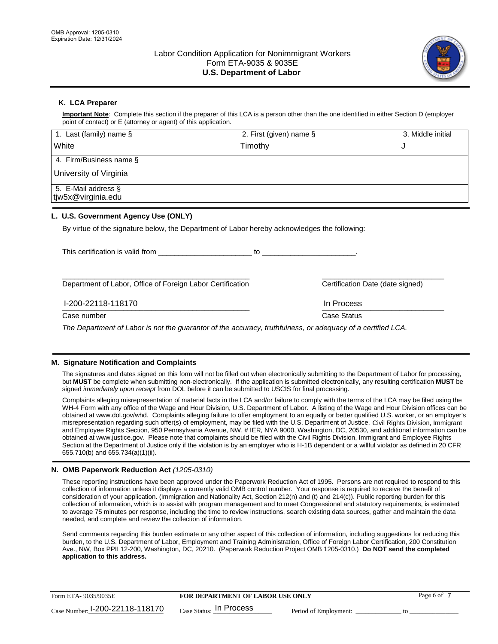

# **K. LCA Preparer**

**Important Note**: Complete this section if the preparer of this LCA is a person other than the one identified in either Section D (employer point of contact) or E (attorney or agent) of this application.

| 1. Last (family) name $\S$                                                                   | 2. First (given) name §                                                                                                                                                                                                        | 3. Middle initial                |
|----------------------------------------------------------------------------------------------|--------------------------------------------------------------------------------------------------------------------------------------------------------------------------------------------------------------------------------|----------------------------------|
| White                                                                                        | Timothy                                                                                                                                                                                                                        | J                                |
| 4. Firm/Business name §                                                                      |                                                                                                                                                                                                                                |                                  |
| University of Virginia                                                                       |                                                                                                                                                                                                                                |                                  |
| 5. E-Mail address §<br>tjw5x@virginia.edu                                                    |                                                                                                                                                                                                                                |                                  |
| L. U.S. Government Agency Use (ONLY)                                                         |                                                                                                                                                                                                                                |                                  |
| By virtue of the signature below, the Department of Labor hereby acknowledges the following: |                                                                                                                                                                                                                                |                                  |
| This certification is valid from This certification                                          | to the contract of the contract of the contract of the contract of the contract of the contract of the contract of the contract of the contract of the contract of the contract of the contract of the contract of the contrac |                                  |
| Department of Labor, Office of Foreign Labor Certification                                   |                                                                                                                                                                                                                                | Certification Date (date signed) |

\_\_\_\_\_\_\_\_\_\_\_\_\_\_\_\_\_\_\_\_\_\_\_\_\_\_\_\_\_\_\_\_\_\_\_\_\_\_\_\_\_\_\_\_\_\_ \_\_\_\_\_\_\_\_\_\_\_\_\_\_\_\_\_\_\_\_\_\_\_\_\_\_\_\_\_\_ I-200-22118-118170 In Process

Case number **Case Status** Case Status **Case Status** 

*The Department of Labor is not the guarantor of the accuracy, truthfulness, or adequacy of a certified LCA.*

## **M. Signature Notification and Complaints**

The signatures and dates signed on this form will not be filled out when electronically submitting to the Department of Labor for processing, but **MUST** be complete when submitting non-electronically. If the application is submitted electronically, any resulting certification **MUST** be signed *immediately upon receipt* from DOL before it can be submitted to USCIS for final processing.

Complaints alleging misrepresentation of material facts in the LCA and/or failure to comply with the terms of the LCA may be filed using the WH-4 Form with any office of the Wage and Hour Division, U.S. Department of Labor. A listing of the Wage and Hour Division offices can be obtained at www.dol.gov/whd. Complaints alleging failure to offer employment to an equally or better qualified U.S. worker, or an employer's misrepresentation regarding such offer(s) of employment, may be filed with the U.S. Department of Justice, Civil Rights Division, Immigrant and Employee Rights Section, 950 Pennsylvania Avenue, NW, # IER, NYA 9000, Washington, DC, 20530, and additional information can be obtained at www.justice.gov. Please note that complaints should be filed with the Civil Rights Division, Immigrant and Employee Rights Section at the Department of Justice only if the violation is by an employer who is H-1B dependent or a willful violator as defined in 20 CFR 655.710(b) and 655.734(a)(1)(ii).

## **N. OMB Paperwork Reduction Act** *(1205-0310)*

These reporting instructions have been approved under the Paperwork Reduction Act of 1995. Persons are not required to respond to this collection of information unless it displays a currently valid OMB control number. Your response is required to receive the benefit of consideration of your application. (Immigration and Nationality Act, Section 212(n) and (t) and 214(c)). Public reporting burden for this collection of information, which is to assist with program management and to meet Congressional and statutory requirements, is estimated to average 75 minutes per response, including the time to review instructions, search existing data sources, gather and maintain the data needed, and complete and review the collection of information.

Send comments regarding this burden estimate or any other aspect of this collection of information, including suggestions for reducing this burden, to the U.S. Department of Labor, Employment and Training Administration, Office of Foreign Labor Certification, 200 Constitution Ave., NW, Box PPII 12-200, Washington, DC, 20210. (Paperwork Reduction Project OMB 1205-0310.) **Do NOT send the completed application to this address.**

| Form ETA-9035/9035E                         | <b>FOR DEPARTMENT OF LABOR USE ONLY</b> |                       | Page 6 of |
|---------------------------------------------|-----------------------------------------|-----------------------|-----------|
| $_{\text{Case Number:}}$ 1-200-22118-118170 | $_{\text{Case Status:}}$ In Process     | Period of Employment: |           |